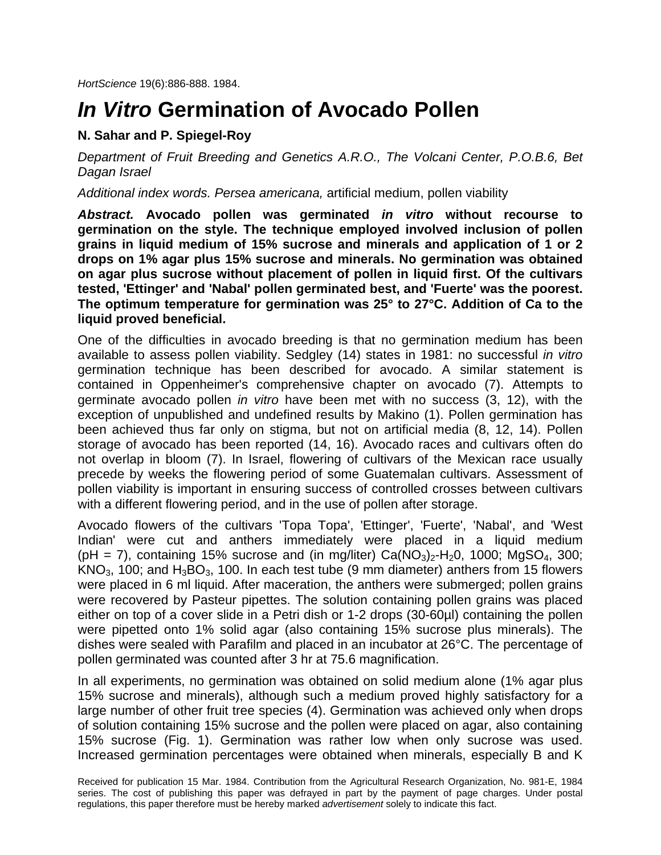*HortScience* 19(6):886-888. 1984.

## *In Vitro* **Germination of Avocado Pollen**

## **N. Sahar and P. Spiegel-Roy**

*Department of Fruit Breeding and Genetics A.R.O., The Volcani Center, P.O.B.6, Bet Dagan Israel*

*Additional index words. Persea americana,* artificial medium, pollen viability

*Abstract.* **Avocado pollen was germinated** *in vitro* **without recourse to germination on the style. The technique employed involved inclusion of pollen grains in liquid medium of 15% sucrose and minerals and application of 1 or 2 drops on 1% agar plus 15% sucrose and minerals. No germination was obtained on agar plus sucrose without placement of pollen in liquid first. Of the cultivars tested, 'Ettinger' and 'Nabal' pollen germinated best, and 'Fuerte' was the poorest. The optimum temperature for germination was 25° to 27°C. Addition of Ca to the liquid proved beneficial.**

One of the difficulties in avocado breeding is that no germination medium has been available to assess pollen viability. Sedgley (14) states in 1981: no successful *in vitro*  germination technique has been described for avocado. A similar statement is contained in Oppenheimer's comprehensive chapter on avocado (7). Attempts to germinate avocado pollen *in vitro* have been met with no success (3, 12), with the exception of unpublished and undefined results by Makino (1). Pollen germination has been achieved thus far only on stigma, but not on artificial media (8, 12, 14). Pollen storage of avocado has been reported (14, 16). Avocado races and cultivars often do not overlap in bloom (7). In Israel, flowering of cultivars of the Mexican race usually precede by weeks the flowering period of some Guatemalan cultivars. Assessment of pollen viability is important in ensuring success of controlled crosses between cultivars with a different flowering period, and in the use of pollen after storage.

Avocado flowers of the cultivars 'Topa Topa', 'Ettinger', 'Fuerte', 'Nabal', and 'West Indian' were cut and anthers immediately were placed in a liquid medium (pH = 7), containing 15% sucrose and (in mg/liter)  $Ca(NO<sub>3</sub>)<sub>2</sub> - H<sub>2</sub>0$ , 1000; MgSO<sub>4</sub>, 300; KNO<sub>3</sub>, 100; and  $H_3BO_3$ , 100. In each test tube (9 mm diameter) anthers from 15 flowers were placed in 6 ml liquid. After maceration, the anthers were submerged; pollen grains were recovered by Pasteur pipettes. The solution containing pollen grains was placed either on top of a cover slide in a Petri dish or 1-2 drops (30-60µl) containing the pollen were pipetted onto 1% solid agar (also containing 15% sucrose plus minerals). The dishes were sealed with Parafilm and placed in an incubator at 26°C. The percentage of pollen germinated was counted after 3 hr at 75.6 magnification.

In all experiments, no germination was obtained on solid medium alone (1% agar plus 15% sucrose and minerals), although such a medium proved highly satisfactory for a large number of other fruit tree species (4). Germination was achieved only when drops of solution containing 15% sucrose and the pollen were placed on agar, also containing 15% sucrose (Fig. 1). Germination was rather low when only sucrose was used. Increased germination percentages were obtained when minerals, especially B and K

Received for publication 15 Mar. 1984. Contribution from the Agricultural Research Organization, No. 981-E, 1984 series. The cost of publishing this paper was defrayed in part by the payment of page charges. Under postal regulations, this paper therefore must be hereby marked *advertisement* solely to indicate this fact.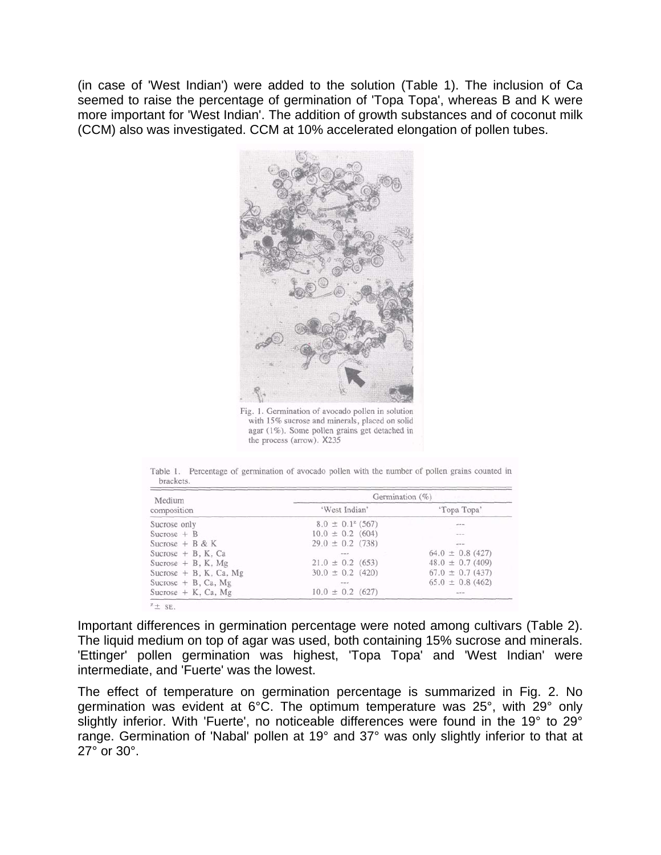(in case of 'West Indian') were added to the solution (Table 1). The inclusion of Ca seemed to raise the percentage of germination of 'Topa Topa', whereas B and K were more important for 'West Indian'. The addition of growth substances and of coconut milk (CCM) also was investigated. CCM at 10% accelerated elongation of pollen tubes.



Fig. 1. Germination of avocado pollen in solution with 15% sucrose and minerals, placed on solid agar (1%). Some pollen grains get detached in the process (arrow). X235

Table 1. Percentage of germination of avocado pollen with the number of pollen grains counted in brackets.

| Medium                   | Germination (%)       |                      |  |
|--------------------------|-----------------------|----------------------|--|
| composition              | 'West Indian'         | 'Topa Topa'          |  |
| Sucrose only             | $8.0 \pm 0.1^2$ (567) |                      |  |
| Sucrose $+$ B            | $10.0 \pm 0.2$ (604)  | $-$                  |  |
| Sucrose $+$ B & K        | $29.0 \pm 0.2$ (738)  | $\overline{a}$       |  |
| Sucrose $+$ B, K, Ca     | <b>MONTH</b>          | $64.0 \pm 0.8$ (427) |  |
| Sucrose $+$ B, K, Mg     | $21.0 \pm 0.2$ (653)  | $48.0 \pm 0.7$ (409) |  |
| Sucrose $+$ B, K, Ca, Mg | $30.0 \pm 0.2$ (420)  | $67.0 \pm 0.7$ (437) |  |
| Sucrose $+$ B, Ca, Mg    | $\sim$ $\sim$ $\sim$  | $65.0 \pm 0.8$ (462) |  |
| Sucrose $+ K$ , Ca, Mg   | $10.0 \pm 0.2$ (627)  | and for you.         |  |

Important differences in germination percentage were noted among cultivars (Table 2). The liquid medium on top of agar was used, both containing 15% sucrose and minerals. 'Ettinger' pollen germination was highest, 'Topa Topa' and 'West Indian' were intermediate, and 'Fuerte' was the lowest.

The effect of temperature on germination percentage is summarized in Fig. 2. No germination was evident at 6°C. The optimum temperature was 25°, with 29° only slightly inferior. With 'Fuerte', no noticeable differences were found in the 19° to 29° range. Germination of 'Nabal' pollen at 19° and 37° was only slightly inferior to that at 27° or 30°.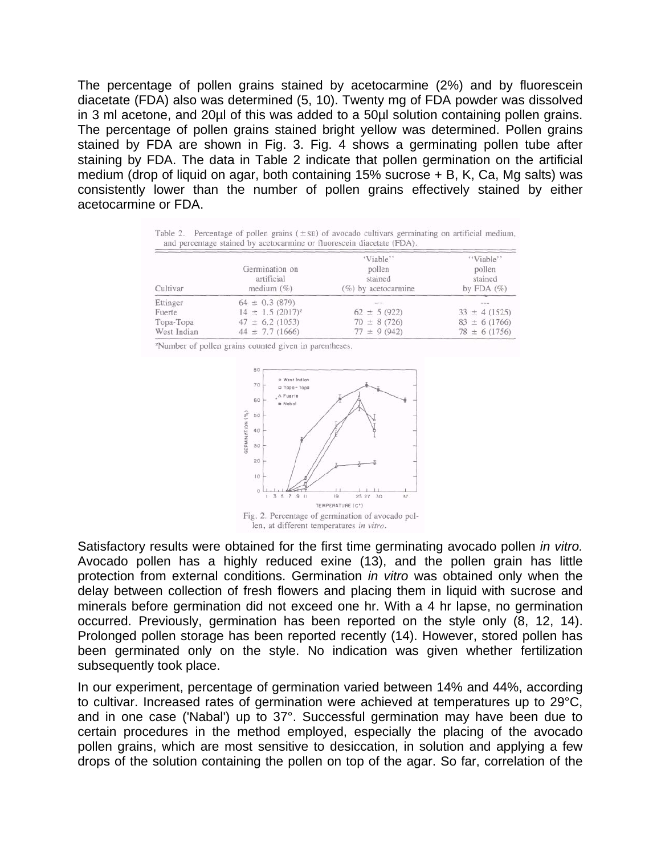The percentage of pollen grains stained by acetocarmine (2%) and by fluorescein diacetate (FDA) also was determined (5, 10). Twenty mg of FDA powder was dissolved in 3 ml acetone, and 20µl of this was added to a 50µl solution containing pollen grains. The percentage of pollen grains stained bright yellow was determined. Pollen grains stained by FDA are shown in Fig. 3. Fig. 4 shows a germinating pollen tube after staining by FDA. The data in Table 2 indicate that pollen germination on the artificial medium (drop of liquid on agar, both containing  $15\%$  sucrose  $+ B$ , K, Ca, Mg salts) was consistently lower than the number of pollen grains effectively stained by either acetocarmine or FDA.

Table 2. Percentage of pollen grains  $(\pm s)$  of avocado cultivars germinating on artificial medium, and percentage stained by acetocarmine or fluorescein diacetate (FDA).

| Cultivar    | Germination on<br>artificial<br>medium $(\%)$ | 'Viable''<br>pollen<br>stained<br>$(\%)$ by acetocarmine | "Viable"<br>pollen<br>stained<br>by FDA $(\%)$ |
|-------------|-----------------------------------------------|----------------------------------------------------------|------------------------------------------------|
| Ettinger    | $64 \pm 0.3$ (879)                            | and place lane                                           | mm in                                          |
| Fuerte      | $14 \pm 1.5$ (2017) <sup>z</sup>              | $62 \pm 5(922)$                                          | $33 \pm 4(1525)$                               |
| Topa-Topa   | $47 \pm 6.2$ (1053)                           | $70 \pm 8(726)$                                          | $83 \pm 6$ (1766)                              |
| West Indian | $44 \pm 7.7$ (1666)                           | $77 \pm 9(942)$                                          | $78 \pm 6(1756)$                               |

<sup>z</sup>Number of pollen grains counted given in parentheses.



Satisfactory results were obtained for the first time germinating avocado pollen *in vitro.*  Avocado pollen has a highly reduced exine (13), and the pollen grain has little protection from external conditions. Germination *in vitro* was obtained only when the delay between collection of fresh flowers and placing them in liquid with sucrose and minerals before germination did not exceed one hr. With a 4 hr lapse, no germination occurred. Previously, germination has been reported on the style only (8, 12, 14). Prolonged pollen storage has been reported recently (14). However, stored pollen has been germinated only on the style. No indication was given whether fertilization subsequently took place.

In our experiment, percentage of germination varied between 14% and 44%, according to cultivar. Increased rates of germination were achieved at temperatures up to 29°C, and in one case ('Nabal') up to 37°. Successful germination may have been due to certain procedures in the method employed, especially the placing of the avocado pollen grains, which are most sensitive to desiccation, in solution and applying a few drops of the solution containing the pollen on top of the agar. So far, correlation of the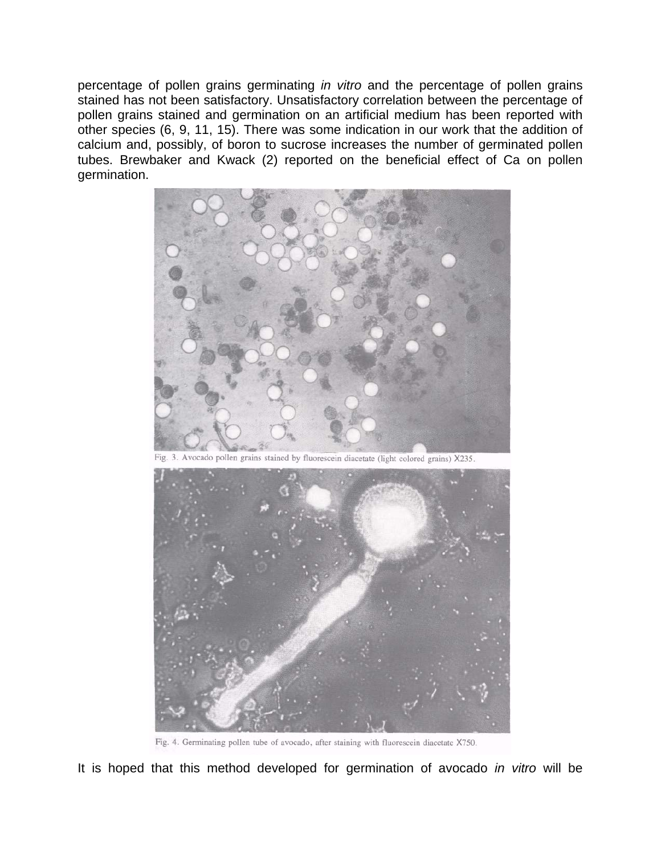percentage of pollen grains germinating *in vitro* and the percentage of pollen grains stained has not been satisfactory. Unsatisfactory correlation between the percentage of pollen grains stained and germination on an artificial medium has been reported with other species (6, 9, 11, 15). There was some indication in our work that the addition of calcium and, possibly, of boron to sucrose increases the number of germinated pollen tubes. Brewbaker and Kwack (2) reported on the beneficial effect of Ca on pollen germination.



Fig. 3. Avocado pollen grains stained by fluorescein diacetate (light colored grains) X235.



Fig. 4. Germinating pollen tube of avocado, after staining with fluorescein diacetate X750.

It is hoped that this method developed for germination of avocado *in vitro* will be